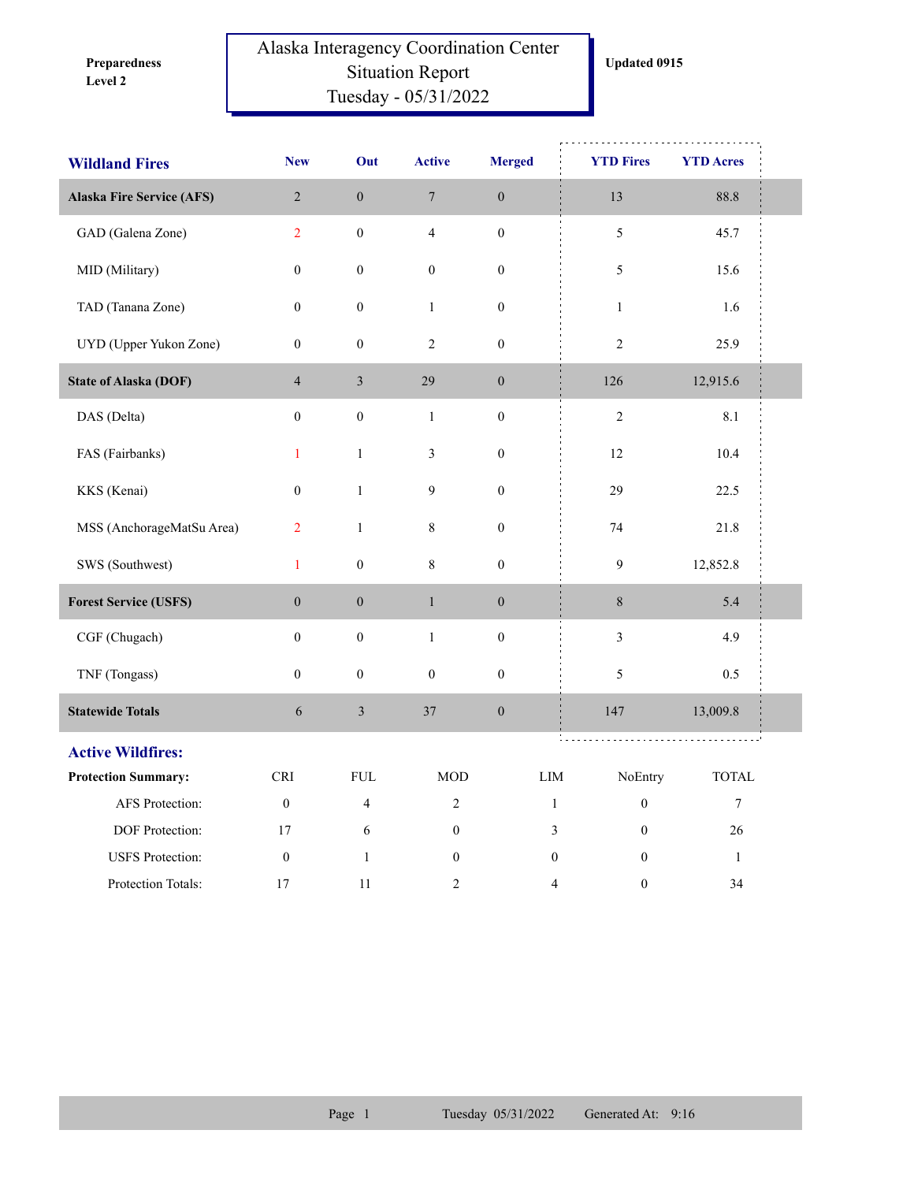**Level 2 Preparedness** 

## Alaska Interagency Coordination Center Situation Report Tuesday - 05/31/2022

| <b>Wildland Fires</b>            | <b>New</b>                  | Out              | <b>Active</b>    | <b>Merged</b>    | <b>YTD Fires</b>                     | <b>YTD Acres</b> |  |  |
|----------------------------------|-----------------------------|------------------|------------------|------------------|--------------------------------------|------------------|--|--|
| <b>Alaska Fire Service (AFS)</b> | $\sqrt{2}$                  | $\boldsymbol{0}$ | $\boldsymbol{7}$ | $\boldsymbol{0}$ | 13                                   | 88.8             |  |  |
| GAD (Galena Zone)                | $\overline{2}$              | $\boldsymbol{0}$ | $\overline{4}$   | $\boldsymbol{0}$ | 5                                    | 45.7             |  |  |
| MID (Military)                   | $\boldsymbol{0}$            | $\boldsymbol{0}$ | $\boldsymbol{0}$ | $\boldsymbol{0}$ | 5                                    | 15.6             |  |  |
| TAD (Tanana Zone)                | $\boldsymbol{0}$            | $\boldsymbol{0}$ | $\mathbf{1}$     | $\boldsymbol{0}$ | $\mathbf{1}$                         | 1.6              |  |  |
| UYD (Upper Yukon Zone)           | $\mathbf{0}$                | $\boldsymbol{0}$ | $\sqrt{2}$       | $\boldsymbol{0}$ | $\sqrt{2}$                           | 25.9             |  |  |
| <b>State of Alaska (DOF)</b>     | $\overline{4}$              | $\mathfrak{Z}$   | 29               | $\boldsymbol{0}$ | 126                                  | 12,915.6         |  |  |
| DAS (Delta)                      | $\boldsymbol{0}$            | $\boldsymbol{0}$ | $\mathbf{1}$     | $\boldsymbol{0}$ | $\overline{2}$                       | 8.1              |  |  |
| FAS (Fairbanks)                  | $\mathbf{1}$                | $\mathbf{1}$     | $\mathfrak{Z}$   | $\boldsymbol{0}$ | 12                                   | 10.4             |  |  |
| KKS (Kenai)                      | $\boldsymbol{0}$            | $\,1\,$          | $\boldsymbol{9}$ | $\boldsymbol{0}$ | 29                                   | 22.5             |  |  |
| MSS (AnchorageMatSu Area)        | $\overline{2}$              | $\mathbf{1}$     | $\,8\,$          | $\boldsymbol{0}$ | 74                                   | 21.8             |  |  |
| SWS (Southwest)                  | $\mathbf{1}$                | $\boldsymbol{0}$ | $\,8\,$          | $\boldsymbol{0}$ | 9                                    | 12,852.8         |  |  |
| <b>Forest Service (USFS)</b>     | $\boldsymbol{0}$            | $\boldsymbol{0}$ | $\,1$            | $\boldsymbol{0}$ | $\,8\,$                              | 5.4              |  |  |
| CGF (Chugach)                    | $\boldsymbol{0}$            | $\boldsymbol{0}$ | $\,1$            | $\boldsymbol{0}$ | $\mathfrak{Z}$                       | 4.9              |  |  |
| TNF (Tongass)                    | $\boldsymbol{0}$            | $\boldsymbol{0}$ | $\boldsymbol{0}$ | $\boldsymbol{0}$ | 5                                    | 0.5              |  |  |
| <b>Statewide Totals</b>          | $\sqrt{6}$                  | $\mathfrak{Z}$   | 37               | $\boldsymbol{0}$ | 147                                  | 13,009.8         |  |  |
| <b>Active Wildfires:</b>         |                             |                  |                  |                  | 111                                  |                  |  |  |
| <b>Protection Summary:</b>       | $\ensuremath{\mathsf{CRI}}$ | ${\rm FUL}$      | <b>MOD</b>       |                  | ${\rm LIM}$<br>NoEntry               | <b>TOTAL</b>     |  |  |
| AFS Protection:                  | $\boldsymbol{0}$            | $\overline{4}$   | $\sqrt{2}$       |                  | $\mathbf{1}$<br>$\boldsymbol{0}$     | $\boldsymbol{7}$ |  |  |
| DOF Protection:                  | 17                          | 6                | $\mathbf{0}$     |                  | 3<br>$\mathbf{0}$                    | $26\,$           |  |  |
| <b>USFS</b> Protection:          | $\boldsymbol{0}$            | $\mathbf{1}$     | $\boldsymbol{0}$ |                  | $\boldsymbol{0}$<br>$\boldsymbol{0}$ | $\mathbf{1}$     |  |  |
| Protection Totals:               | 17                          | 11               | 2                |                  | $\boldsymbol{0}$<br>4                | 34               |  |  |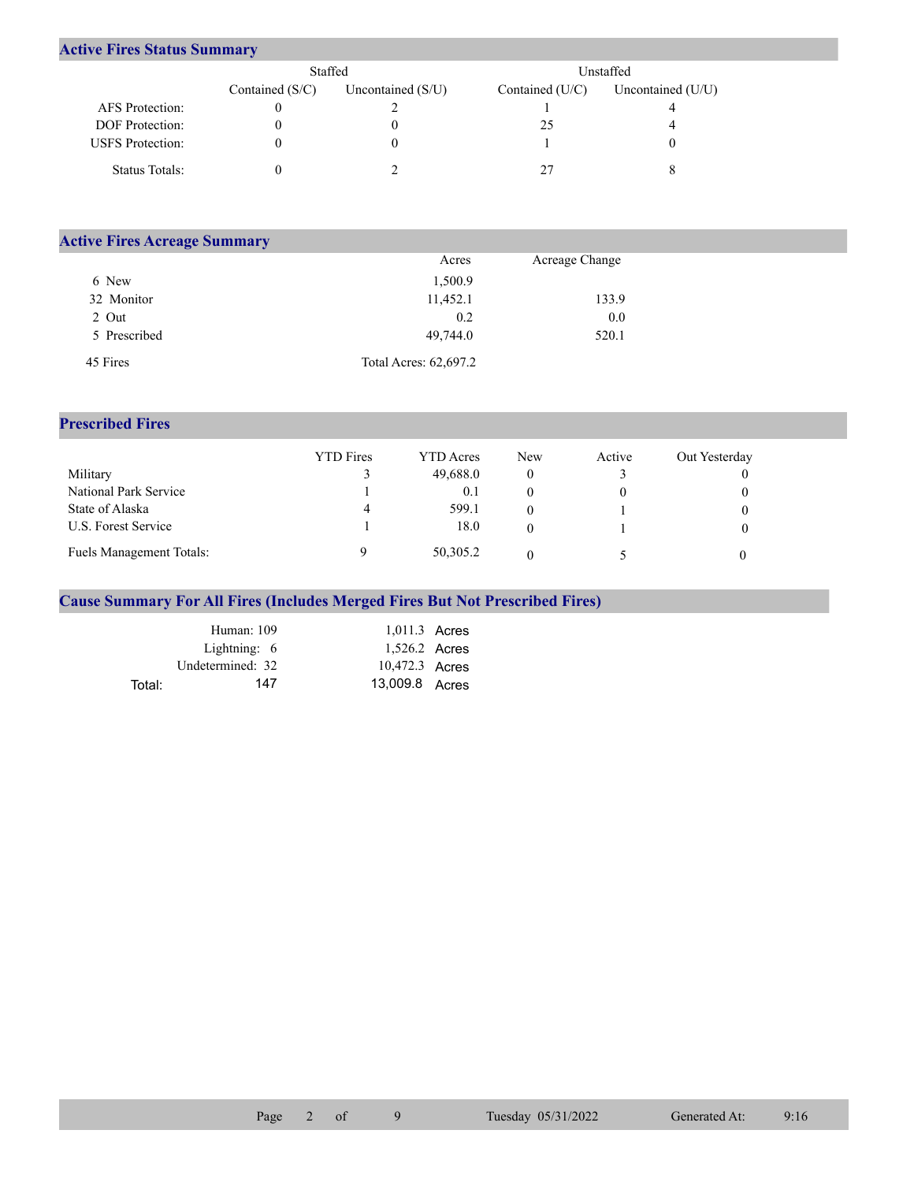## **Active Fires Status Summary**

|                         | Staffed           |                     | <b>Unstaffed</b>  |                     |  |  |
|-------------------------|-------------------|---------------------|-------------------|---------------------|--|--|
|                         | Contained $(S/C)$ | Uncontained $(S/U)$ | Contained $(U/C)$ | Uncontained $(U/U)$ |  |  |
| AFS Protection:         |                   |                     |                   |                     |  |  |
| <b>DOF</b> Protection:  |                   |                     | 25                |                     |  |  |
| <b>USFS</b> Protection: |                   |                     |                   |                     |  |  |
| Status Totals:          |                   |                     |                   |                     |  |  |

| <b>Active Fires Acreage Summary</b> |                       |                |  |  |  |  |  |  |
|-------------------------------------|-----------------------|----------------|--|--|--|--|--|--|
|                                     | Acres                 | Acreage Change |  |  |  |  |  |  |
| 6 New                               | 1,500.9               |                |  |  |  |  |  |  |
| 32 Monitor                          | 11,452.1              | 133.9          |  |  |  |  |  |  |
| 2 Out                               | 0.2                   | 0.0            |  |  |  |  |  |  |
| 5 Prescribed                        | 49,744.0              | 520.1          |  |  |  |  |  |  |
| 45 Fires                            | Total Acres: 62,697.2 |                |  |  |  |  |  |  |

## **Prescribed Fires**

|                                 | <b>YTD</b> Fires | <b>YTD</b> Acres | <b>New</b> | Active | Out Yesterday |
|---------------------------------|------------------|------------------|------------|--------|---------------|
| Military                        |                  | 49,688.0         |            |        |               |
| National Park Service           |                  | 0.1              |            |        |               |
| State of Alaska                 | 4                | 599.1            |            |        |               |
| U.S. Forest Service             |                  | 18.0             |            |        |               |
| <b>Fuels Management Totals:</b> |                  | 50,305.2         |            |        |               |

## **Cause Summary For All Fires (Includes Merged Fires But Not Prescribed Fires)**

|        | Human: 109       | 1,011.3 Acres  |  |
|--------|------------------|----------------|--|
|        | Lightning: $6$   | 1,526.2 Acres  |  |
|        | Undetermined: 32 | 10,472.3 Acres |  |
| Total: | 147              | 13,009.8 Acres |  |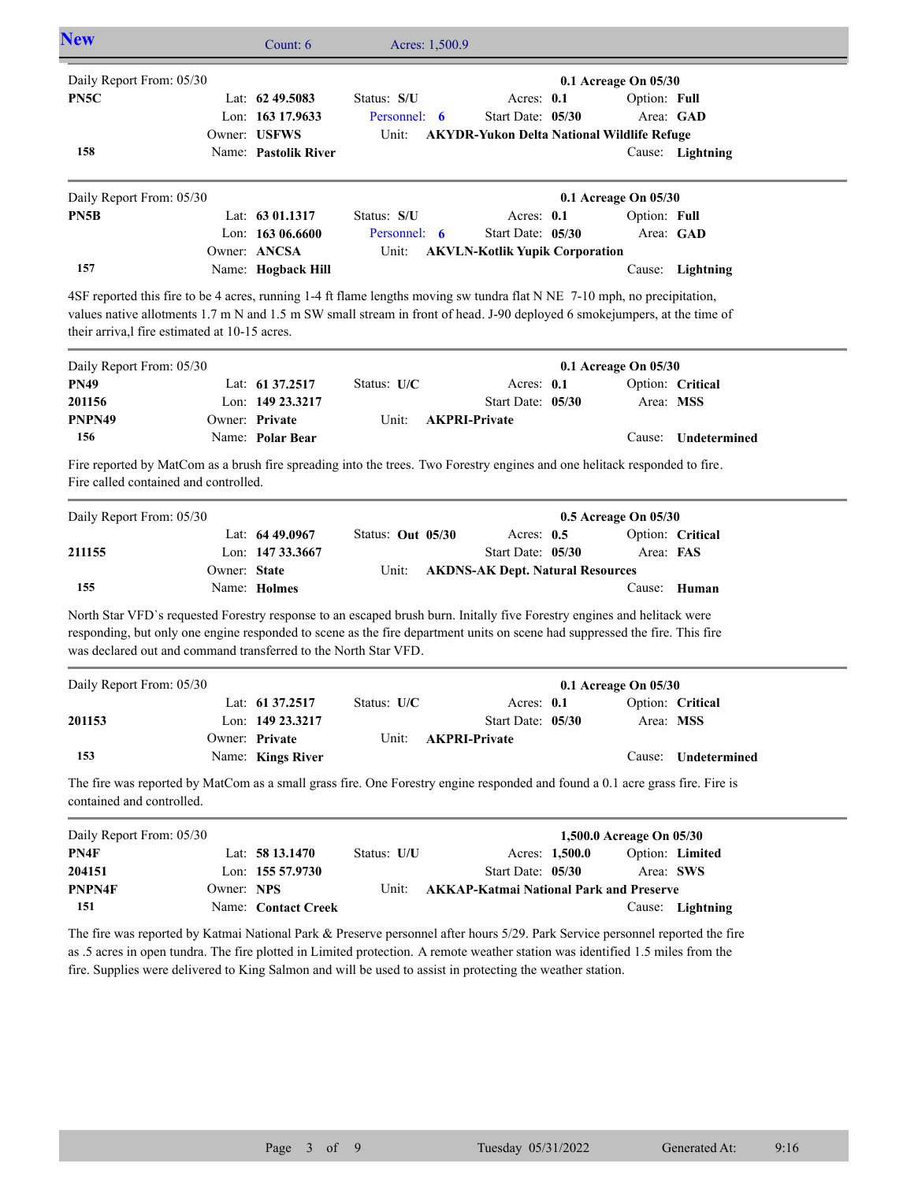| <b>New</b>               | Count: $6$           | Acres: 1,500.9 |                                       |                                                   |                  |  |
|--------------------------|----------------------|----------------|---------------------------------------|---------------------------------------------------|------------------|--|
| Daily Report From: 05/30 |                      |                |                                       | $0.1$ Acreage On $05/30$                          |                  |  |
| PN <sub>5C</sub>         | Lat: $62\,49.5083$   | Status: S/U    | Acres: $0.1$                          | Option: Full                                      |                  |  |
|                          | Lon: $163$ 17.9633   | Personnel: 6   | Start Date: 05/30                     | Area: GAD                                         |                  |  |
|                          | Owner: USFWS         | Unit:          |                                       | <b>AKYDR-Yukon Delta National Wildlife Refuge</b> |                  |  |
| 158                      | Name: Pastolik River |                |                                       |                                                   | Cause: Lightning |  |
| Daily Report From: 05/30 |                      |                |                                       | $0.1$ Acreage On $05/30$                          |                  |  |
| PN5B                     | Lat: $6301.1317$     | Status: S/U    | Acres: $0.1$                          | Option: Full                                      |                  |  |
|                          | Lon: $16306.6600$    | Personnel: 6   | Start Date: 05/30                     | Area: GAD                                         |                  |  |
|                          | Owner: ANCSA         | Unit:          | <b>AKVLN-Kotlik Yupik Corporation</b> |                                                   |                  |  |
| 157                      | Name: Hogback Hill   |                |                                       | Cause:                                            | Lightning        |  |

4SF reported this fire to be 4 acres, running 1-4 ft flame lengths moving sw tundra flat N NE 7-10 mph, no precipitation, values native allotments 1.7 m N and 1.5 m SW small stream in front of head. J-90 deployed 6 smokejumpers, at the time of their arriva,l fire estimated at 10-15 acres.

| Daily Report From: 05/30 |                     | $0.1$ Acreage On $05/30$ |                            |  |           |                     |
|--------------------------|---------------------|--------------------------|----------------------------|--|-----------|---------------------|
| <b>PN49</b>              | Lat: $61\,37.2517$  | Status: U/C              | Acres: $0.1$               |  |           | Option: Critical    |
| 201156                   | Lon: $149\,23.3217$ |                          | Start Date: 05/30          |  | Area: MSS |                     |
| PNPN49                   | Owner: Private      |                          | Unit: <b>AKPRI-Private</b> |  |           |                     |
| 156                      | Name: Polar Bear    |                          |                            |  |           | Cause: Undetermined |

Fire reported by MatCom as a brush fire spreading into the trees. Two Forestry engines and one helitack responded to fire. Fire called contained and controlled.

| Daily Report From: 05/30 |              |                    |                   |  | $0.5$ Acreage On $05/30$                      |  |           |                  |
|--------------------------|--------------|--------------------|-------------------|--|-----------------------------------------------|--|-----------|------------------|
|                          |              | Lat: $64\,49.0967$ | Status: Out 05/30 |  | Acres: $0.5$                                  |  |           | Option: Critical |
| 211155                   |              | Lon: $14733.3667$  |                   |  | Start Date: 05/30                             |  | Area: FAS |                  |
|                          | Owner: State |                    |                   |  | Unit: <b>AKDNS-AK Dept. Natural Resources</b> |  |           |                  |
| 155                      |              | Name: Holmes       |                   |  |                                               |  |           | Cause: Human     |

North Star VFD`s requested Forestry response to an escaped brush burn. Initally five Forestry engines and helitack were responding, but only one engine responded to scene as the fire department units on scene had suppressed the fire. This fire was declared out and command transferred to the North Star VFD.

| Daily Report From: 05/30<br>$0.1$ Acreage On $05/30$ |  |                   |               |                      |  |        |                  |
|------------------------------------------------------|--|-------------------|---------------|----------------------|--|--------|------------------|
|                                                      |  | Lat: 61 37.2517   | Status: $U/C$ | Acres: $0.1$         |  |        | Option: Critical |
| 201153                                               |  | Lon: 149 23.3217  |               | Start Date: 05/30    |  |        | Area: MSS        |
|                                                      |  | Owner: Private    | Unit:         | <b>AKPRI-Private</b> |  |        |                  |
| 153                                                  |  | Name: Kings River |               |                      |  | Cause: | Undetermined     |

The fire was reported by MatCom as a small grass fire. One Forestry engine responded and found a 0.1 acre grass fire. Fire is contained and controlled.

| Daily Report From: 05/30 |            |                     |                          |                                                |                | 1,500.0 Acreage On 05/30 |                  |
|--------------------------|------------|---------------------|--------------------------|------------------------------------------------|----------------|--------------------------|------------------|
| PN4F                     |            | Lat: $5813.1470$    | Status: U/U              |                                                | Acres: 1,500.0 |                          | Option: Limited  |
| 204151                   |            | Lon: $15557.9730$   |                          | Start Date: 05/30                              |                | Area: SWS                |                  |
| PNPN4F                   | Owner: NPS |                     | $\overline{\text{Unit}}$ | <b>AKKAP-Katmai National Park and Preserve</b> |                |                          |                  |
| 151                      |            | Name: Contact Creek |                          |                                                |                |                          | Cause: Lightning |

The fire was reported by Katmai National Park & Preserve personnel after hours 5/29. Park Service personnel reported the fire as .5 acres in open tundra. The fire plotted in Limited protection. A remote weather station was identified 1.5 miles from the fire. Supplies were delivered to King Salmon and will be used to assist in protecting the weather station.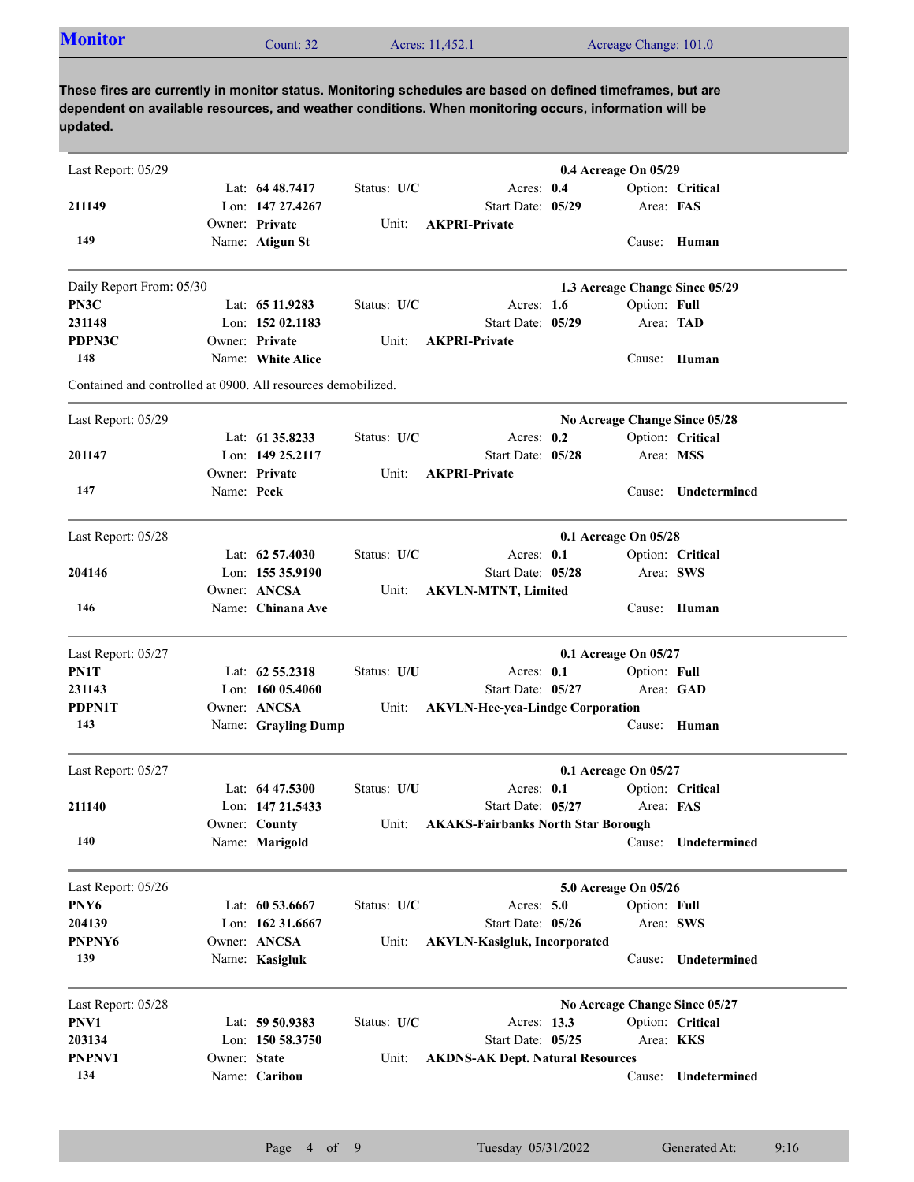| <b>Monitor</b> | Count: $32$ | Acres: 11,452.1 | Acreage Change: 101.0 |  |
|----------------|-------------|-----------------|-----------------------|--|
|----------------|-------------|-----------------|-----------------------|--|

| Last Report: 05/29                                           |              |                     |             |                                           | 0.4 Acreage On 05/29 |              |                                |
|--------------------------------------------------------------|--------------|---------------------|-------------|-------------------------------------------|----------------------|--------------|--------------------------------|
|                                                              |              | Lat: 64 48.7417     | Status: U/C | Acres: 0.4                                |                      |              | Option: Critical               |
| 211149                                                       |              | Lon: 147 27,4267    |             | Start Date: 05/29                         |                      | Area: FAS    |                                |
|                                                              |              | Owner: Private      | Unit:       | <b>AKPRI-Private</b>                      |                      |              |                                |
| 149                                                          |              | Name: Atigun St     |             |                                           |                      |              | Cause: Human                   |
| Daily Report From: 05/30                                     |              |                     |             |                                           |                      |              | 1.3 Acreage Change Since 05/29 |
| PN3C                                                         |              | Lat: 65 11.9283     | Status: U/C | Acres: $1.6$                              |                      | Option: Full |                                |
| 231148                                                       |              | Lon: 152 02.1183    |             | Start Date: 05/29                         |                      |              | Area: TAD                      |
| PDPN3C                                                       |              | Owner: Private      | Unit:       | <b>AKPRI-Private</b>                      |                      |              |                                |
| 148                                                          |              | Name: White Alice   |             |                                           |                      |              | Cause: Human                   |
| Contained and controlled at 0900. All resources demobilized. |              |                     |             |                                           |                      |              |                                |
| Last Report: 05/29                                           |              |                     |             |                                           |                      |              | No Acreage Change Since 05/28  |
|                                                              |              | Lat: 61 35.8233     | Status: U/C | Acres: $0.2$                              |                      |              | Option: Critical               |
| 201147                                                       |              | Lon: 149 25.2117    |             | Start Date: 05/28                         |                      |              | Area: MSS                      |
|                                                              |              | Owner: Private      | Unit:       | <b>AKPRI-Private</b>                      |                      |              |                                |
| 147                                                          | Name: Peck   |                     |             |                                           |                      | Cause:       | Undetermined                   |
|                                                              |              |                     |             |                                           |                      |              |                                |
| Last Report: 05/28                                           |              |                     |             |                                           | 0.1 Acreage On 05/28 |              |                                |
|                                                              |              | Lat: $62\,57.4030$  | Status: U/C | Acres: $0.1$                              |                      |              | Option: Critical               |
| 204146                                                       |              | Lon: 155 35.9190    |             | Start Date: 05/28                         |                      |              | Area: SWS                      |
|                                                              |              | Owner: ANCSA        | Unit:       | <b>AKVLN-MTNT, Limited</b>                |                      |              |                                |
| 146                                                          |              | Name: Chinana Ave   |             |                                           |                      |              | Cause: Human                   |
| Last Report: 05/27                                           |              |                     |             |                                           | 0.1 Acreage On 05/27 |              |                                |
| PN1T                                                         |              | Lat: 62 55.2318     | Status: U/U | Acres: 0.1                                |                      | Option: Full |                                |
| 231143                                                       |              | Lon: $16005.4060$   |             | Start Date: 05/27                         |                      |              | Area: GAD                      |
| <b>PDPN1T</b>                                                |              | Owner: ANCSA        | Unit:       | <b>AKVLN-Hee-yea-Lindge Corporation</b>   |                      |              |                                |
| 143                                                          |              | Name: Grayling Dump |             |                                           |                      |              | Cause: Human                   |
| Last Report: 05/27                                           |              |                     |             |                                           | 0.1 Acreage On 05/27 |              |                                |
|                                                              |              | Lat: $6447.5300$    | Status: U/U | Acres: $0.1$                              |                      |              | Option: Critical               |
| 211140                                                       |              | Lon: 147 21.5433    |             | Start Date: 05/27                         |                      | Area: FAS    |                                |
|                                                              |              | Owner: County       | Unit:       | <b>AKAKS-Fairbanks North Star Borough</b> |                      |              |                                |
| 140                                                          |              | Name: Marigold      |             |                                           |                      | Cause:       | Undetermined                   |
| Last Report: 05/26                                           |              |                     |             |                                           | 5.0 Acreage On 05/26 |              |                                |
| PNY6                                                         |              | Lat: $60\,53.6667$  | Status: U/C | Acres: $5.0$                              |                      | Option: Full |                                |
| 204139                                                       |              | Lon: 162 31.6667    |             | Start Date: 05/26                         |                      |              | Area: SWS                      |
| PNPNY6                                                       |              | Owner: ANCSA        | Unit:       | <b>AKVLN-Kasigluk, Incorporated</b>       |                      |              |                                |
| 139                                                          |              | Name: Kasigluk      |             |                                           |                      | Cause:       | Undetermined                   |
|                                                              |              |                     |             |                                           |                      |              |                                |
| Last Report: 05/28                                           |              |                     |             |                                           |                      |              | No Acreage Change Since 05/27  |
| PNV1                                                         |              | Lat: 59 50.9383     | Status: U/C | Acres: 13.3                               |                      |              | Option: Critical               |
| 203134                                                       |              | Lon: $15058.3750$   |             | Start Date: 05/25                         |                      |              | Area: KKS                      |
| PNPNV1<br>134                                                | Owner: State |                     | Unit:       | <b>AKDNS-AK Dept. Natural Resources</b>   |                      |              |                                |
|                                                              |              | Name: Caribou       |             |                                           |                      | Cause:       | Undetermined                   |
|                                                              |              |                     |             |                                           |                      |              |                                |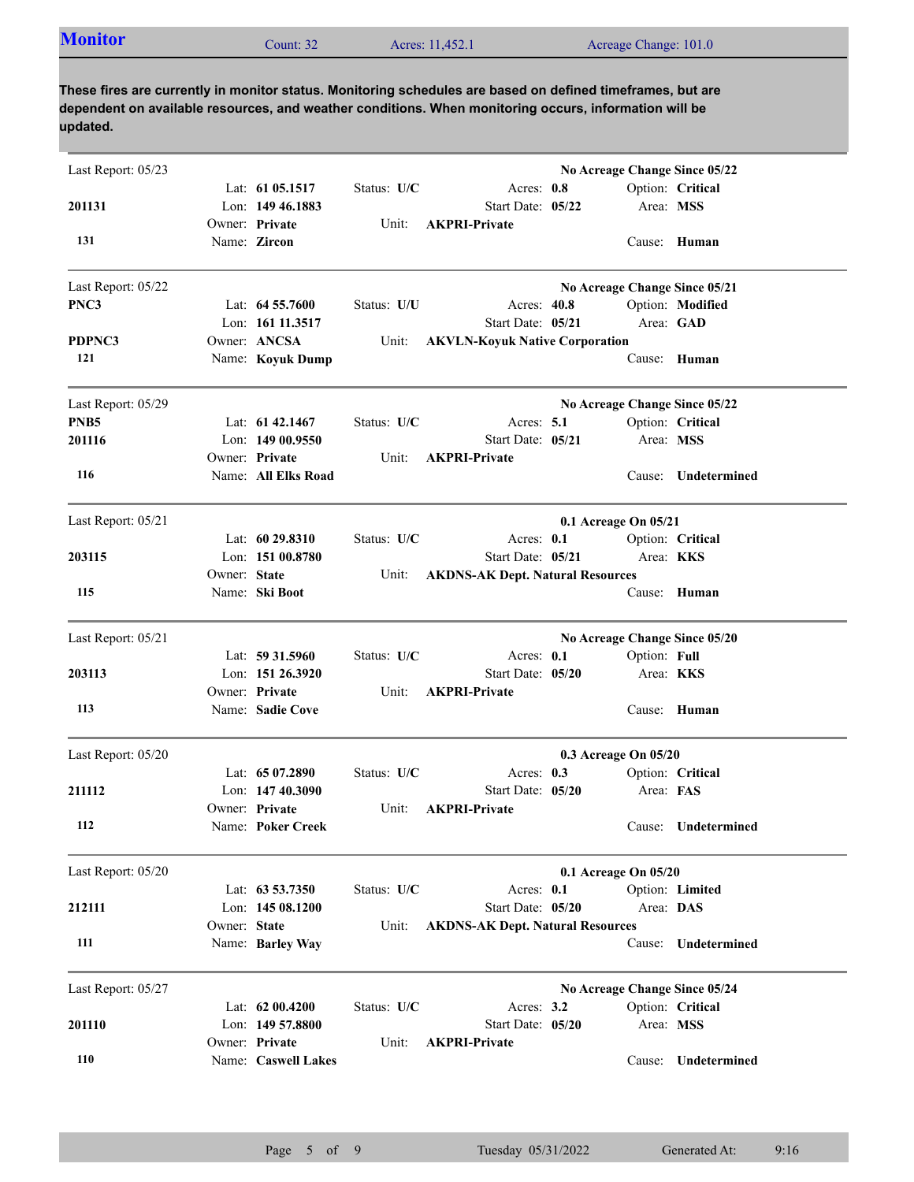| <b>Monitor</b><br>Acres: 11,452.1<br>Acreage Change: 101.0<br>Count: 32 |  |
|-------------------------------------------------------------------------|--|
|-------------------------------------------------------------------------|--|

| Last Report: 05/23 |              | Lat: 61 05.1517                        | Status: U/C | Acres: 0.8                                                   |                               |                  | No Acreage Change Since 05/22<br>Option: Critical |
|--------------------|--------------|----------------------------------------|-------------|--------------------------------------------------------------|-------------------------------|------------------|---------------------------------------------------|
| 201131             |              | Lon: 149 46.1883<br>Owner: Private     |             | Start Date: 05/22<br><b>AKPRI-Private</b>                    |                               | Area: MSS        |                                                   |
| 131                |              | Name: Zircon                           | Unit:       |                                                              |                               |                  | Cause: Human                                      |
| Last Report: 05/22 |              |                                        |             |                                                              | No Acreage Change Since 05/21 |                  |                                                   |
| PNC3               |              | Lat: $64\,55.7600$<br>Lon: 161 11.3517 | Status: U/U | Acres: 40.8<br>Start Date: 05/21                             |                               |                  | Option: Modified<br>Area: GAD                     |
| PDPNC3             |              | Owner: ANCSA                           | Unit:       | <b>AKVLN-Koyuk Native Corporation</b>                        |                               |                  |                                                   |
| 121                |              | Name: Koyuk Dump                       |             |                                                              |                               | Cause:           | Human                                             |
| Last Report: 05/29 |              |                                        |             |                                                              |                               |                  | No Acreage Change Since 05/22                     |
| PNB <sub>5</sub>   |              | Lat: $61\,42.1467$                     | Status: U/C | Acres: $5.1$                                                 |                               |                  | Option: Critical                                  |
| 201116             |              | Lon: $14900.9550$<br>Owner: Private    | Unit:       | Start Date: 05/21<br><b>AKPRI-Private</b>                    |                               | Area: MSS        |                                                   |
| 116                |              | Name: All Elks Road                    |             |                                                              |                               | Cause:           | Undetermined                                      |
| Last Report: 05/21 |              |                                        |             |                                                              | 0.1 Acreage On 05/21          |                  |                                                   |
|                    |              | Lat: $6029.8310$                       | Status: U/C | Acres: 0.1                                                   |                               |                  | Option: Critical                                  |
| 203115             | Owner: State | Lon: 151 00.8780                       |             | Start Date: 05/21                                            |                               | Area: KKS        |                                                   |
| 115                |              | Name: Ski Boot                         | Unit:       | <b>AKDNS-AK Dept. Natural Resources</b>                      |                               |                  | Cause: Human                                      |
| Last Report: 05/21 |              |                                        |             |                                                              |                               |                  | No Acreage Change Since 05/20                     |
|                    |              | Lat: 59 31.5960                        | Status: U/C | Acres: 0.1                                                   |                               | Option: Full     |                                                   |
| 203113             |              | Lon: 151 26.3920<br>Owner: Private     |             | Start Date: 05/20<br><b>AKPRI-Private</b>                    |                               | Area: <b>KKS</b> |                                                   |
| 113                |              | Name: Sadie Cove                       | Unit:       |                                                              |                               |                  | Cause: Human                                      |
| Last Report: 05/20 |              |                                        |             |                                                              | 0.3 Acreage On 05/20          |                  |                                                   |
|                    |              | Lat: 65 07.2890                        | Status: U/C | Acres: $0.3$                                                 |                               |                  | Option: Critical                                  |
| 211112             |              | Lon: $14740.3090$                      |             | Start Date: 05/20                                            |                               | Area: FAS        |                                                   |
| 112                |              | Owner: Private<br>Name: Poker Creek    | Unit:       | <b>AKPRI-Private</b>                                         |                               |                  | Cause: Undetermined                               |
| Last Report: 05/20 |              |                                        |             |                                                              | 0.1 Acreage On 05/20          |                  |                                                   |
|                    |              | Lat: 63 53.7350                        | Status: U/C | Acres: 0.1                                                   |                               |                  | Option: Limited                                   |
| 212111             | Owner: State | Lon: 145 08.1200                       | Unit:       | Start Date: 05/20<br><b>AKDNS-AK Dept. Natural Resources</b> |                               | Area: DAS        |                                                   |
| 111                |              | Name: Barley Way                       |             |                                                              |                               |                  | Cause: Undetermined                               |
| Last Report: 05/27 |              |                                        |             |                                                              |                               |                  | No Acreage Change Since 05/24                     |
|                    |              | Lat: 62 00.4200                        | Status: U/C | Acres: $3.2$                                                 |                               |                  | Option: Critical                                  |
| 201110             |              | Lon: 149 57.8800<br>Owner: Private     | Unit:       | Start Date: 05/20<br><b>AKPRI-Private</b>                    |                               | Area: MSS        |                                                   |
| 110                |              | Name: Caswell Lakes                    |             |                                                              |                               | Cause:           | Undetermined                                      |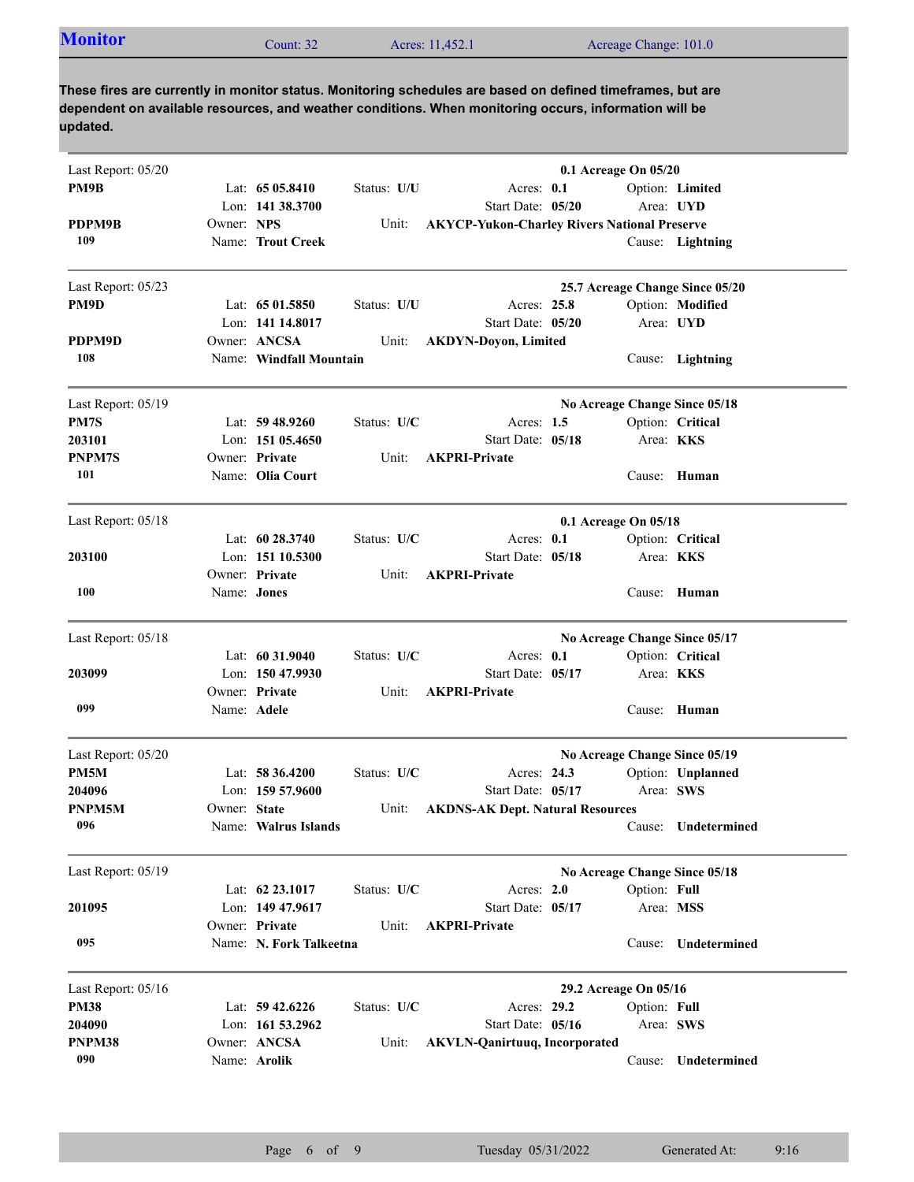| <b>Monitor</b><br>Acres: 11,452.1<br>Acreage Change: 101.0<br>`ount: 32 |  |  |  |  |
|-------------------------------------------------------------------------|--|--|--|--|
|-------------------------------------------------------------------------|--|--|--|--|

| Last Report: 05/20 |              |                         |             |                                                     | 0.1 Acreage On 05/20  |              |                                 |
|--------------------|--------------|-------------------------|-------------|-----------------------------------------------------|-----------------------|--------------|---------------------------------|
| PM9B               |              | Lat: $6505.8410$        | Status: U/U | Acres: 0.1                                          |                       |              | Option: Limited                 |
|                    |              | Lon: 141 38.3700        |             | Start Date: 05/20                                   |                       |              | Area: UYD                       |
| PDPM9B             | Owner: NPS   |                         | Unit:       | <b>AKYCP-Yukon-Charley Rivers National Preserve</b> |                       |              |                                 |
| 109                |              | Name: Trout Creek       |             |                                                     |                       |              | Cause: Lightning                |
| Last Report: 05/23 |              |                         |             |                                                     |                       |              | 25.7 Acreage Change Since 05/20 |
| PM9D               |              | Lat: $6501.5850$        | Status: U/U | Acres: 25.8                                         |                       |              | Option: Modified                |
|                    |              | Lon: 141 14.8017        |             | Start Date: 05/20                                   |                       |              | Area: UYD                       |
| PDPM9D             |              | Owner: ANCSA            | Unit:       | <b>AKDYN-Doyon, Limited</b>                         |                       |              |                                 |
| 108                |              | Name: Windfall Mountain |             |                                                     |                       |              | Cause: Lightning                |
| Last Report: 05/19 |              |                         |             |                                                     |                       |              | No Acreage Change Since 05/18   |
| PM7S               |              | Lat: $59\,48.9260$      | Status: U/C | Acres: $1.5$                                        |                       |              | Option: Critical                |
| 203101             |              | Lon: 151 05.4650        |             | Start Date: 05/18                                   |                       |              | Area: <b>KKS</b>                |
| PNPM7S             |              | Owner: Private          | Unit:       | <b>AKPRI-Private</b>                                |                       |              |                                 |
| 101                |              | Name: Olia Court        |             |                                                     |                       |              | Cause: Human                    |
| Last Report: 05/18 |              |                         |             |                                                     | 0.1 Acreage On 05/18  |              |                                 |
|                    |              | Lat: $60\,28.3740$      | Status: U/C | Acres: $0.1$                                        |                       |              | Option: Critical                |
| 203100             |              | Lon: $15110.5300$       |             | Start Date: 05/18                                   |                       |              | Area: <b>KKS</b>                |
|                    |              | Owner: Private          | Unit:       | <b>AKPRI-Private</b>                                |                       |              |                                 |
| 100                | Name: Jones  |                         |             |                                                     |                       | Cause:       | Human                           |
| Last Report: 05/18 |              |                         |             |                                                     |                       |              | No Acreage Change Since 05/17   |
|                    |              | Lat: 60 31.9040         | Status: U/C | Acres: $0.1$                                        |                       |              | Option: Critical                |
| 203099             |              | Lon: $15047.9930$       |             | Start Date: 05/17                                   |                       |              | Area: <b>KKS</b>                |
|                    |              | Owner: Private          | Unit:       | <b>AKPRI-Private</b>                                |                       |              |                                 |
| 099                |              | Name: Adele             |             |                                                     |                       | Cause:       | Human                           |
| Last Report: 05/20 |              |                         |             |                                                     |                       |              | No Acreage Change Since 05/19   |
| PM5M               |              | Lat: $58\,36.4200$      | Status: U/C | Acres: 24.3                                         |                       |              | Option: Unplanned               |
| 204096             |              | Lon: $15957.9600$       |             | Start Date: 05/17                                   |                       |              | Area: SWS                       |
| PNPM5M             | Owner: State |                         | Unit:       | <b>AKDNS-AK Dept. Natural Resources</b>             |                       |              |                                 |
| 096                |              | Name: Walrus Islands    |             |                                                     |                       | Cause:       | Undetermined                    |
| Last Report: 05/19 |              |                         |             |                                                     |                       |              | No Acreage Change Since 05/18   |
|                    |              | Lat: 62 23.1017         | Status: U/C | Acres: 2.0                                          |                       | Option: Full |                                 |
| 201095             |              | Lon: 149 47.9617        |             | Start Date: 05/17                                   |                       |              | Area: MSS                       |
|                    |              | Owner: Private          | Unit:       | <b>AKPRI-Private</b>                                |                       |              |                                 |
| 095                |              | Name: N. Fork Talkeetna |             |                                                     |                       | Cause:       | Undetermined                    |
| Last Report: 05/16 |              |                         |             |                                                     | 29.2 Acreage On 05/16 |              |                                 |
| <b>PM38</b>        |              | Lat: 59 42.6226         | Status: U/C | Acres: 29.2                                         |                       | Option: Full |                                 |
| 204090             |              | Lon: 161 53.2962        |             | Start Date: 05/16                                   |                       |              | Area: SWS                       |
| PNPM38             |              | Owner: ANCSA            | Unit:       | <b>AKVLN-Qanirtuuq, Incorporated</b>                |                       |              |                                 |
| 090                |              | Name: Arolik            |             |                                                     |                       | Cause:       | Undetermined                    |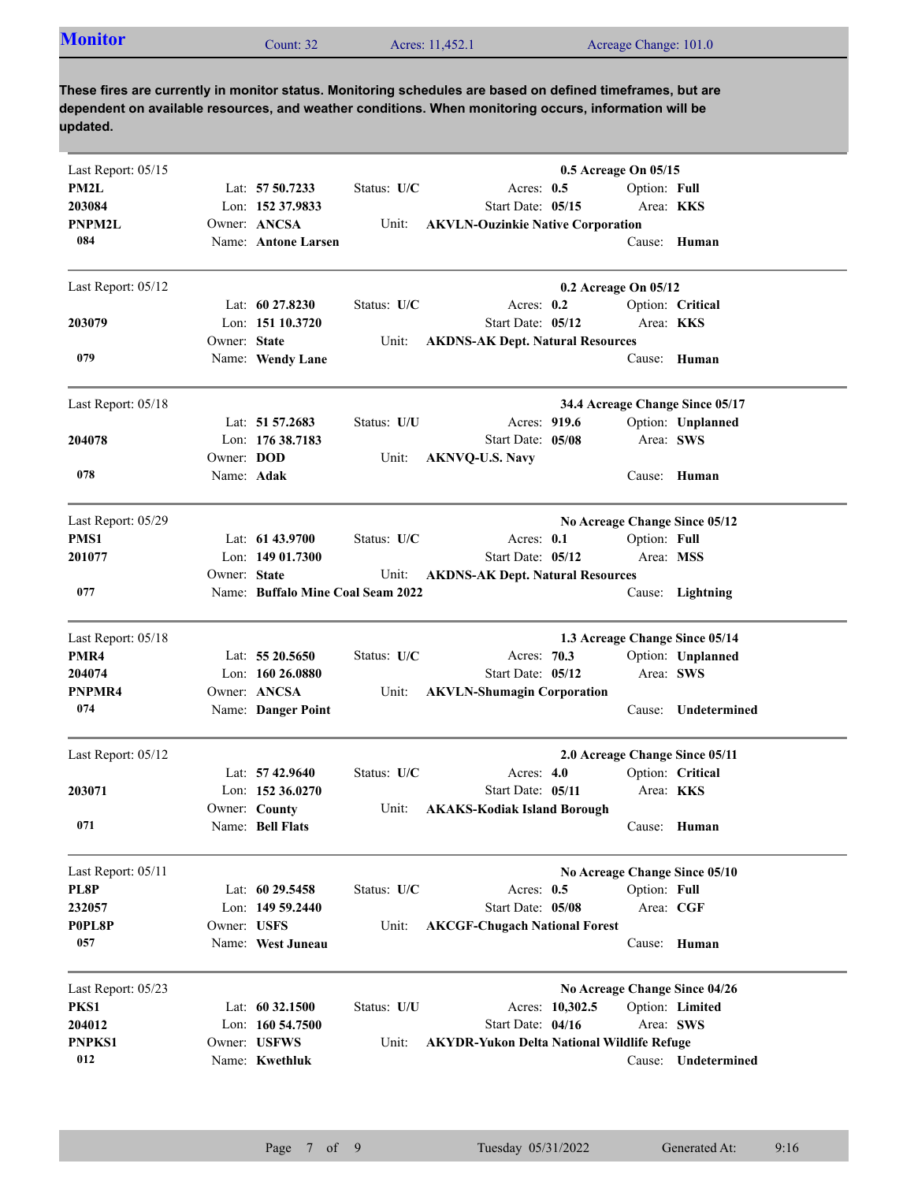| <b>Monitor</b> | Count: $322$ | Acres: 11,452.1 | Acreage Change: 101.0 |
|----------------|--------------|-----------------|-----------------------|
|                |              |                 |                       |

| PM2L<br>Lat: 57 50.7233<br>Status: U/C<br>Option: Full<br>Acres: $0.5$<br>203084<br>Lon: 152 37.9833<br>Start Date: 05/15<br>Area: KKS<br>Owner: ANCSA<br>PNPM2L<br><b>AKVLN-Ouzinkie Native Corporation</b><br>Unit:<br>084<br>Name: Antone Larsen<br>Cause: Human<br>Last Report: 05/12<br>0.2 Acreage On 05/12<br>Lat: $60\,27.8230$<br>Status: U/C<br>Acres: $0.2$<br>Option: Critical<br>Lon: 151 10.3720<br>Start Date: 05/12<br>Area: KKS<br>203079<br>Owner: State<br><b>AKDNS-AK Dept. Natural Resources</b><br>Unit:<br>079<br>Name: Wendy Lane<br>Cause: Human<br>Last Report: 05/18<br>34.4 Acreage Change Since 05/17<br>Lat: $51\,57.2683$<br>Status: U/U<br>Acres: 919.6<br>Option: Unplanned<br>204078<br>Lon: 176 38.7183<br>Start Date: 05/08<br>Area: SWS<br>Owner: DOD<br>Unit:<br><b>AKNVQ-U.S. Navy</b><br>078<br>Name: Adak<br>Cause: Human<br>Last Report: 05/29<br>No Acreage Change Since 05/12<br>PMS1<br>Option: Full<br>Lat: 61 43.9700<br>Status: U/C<br>Acres: $0.1$<br>201077<br>Lon: $14901.7300$<br>Start Date: 05/12<br>Area: MSS<br>Owner: State<br>Unit:<br><b>AKDNS-AK Dept. Natural Resources</b><br>077<br>Name: Buffalo Mine Coal Seam 2022<br>Cause: Lightning<br>1.3 Acreage Change Since 05/14<br>Last Report: 05/18<br>PMR4<br>Lat: 55 20.5650<br>Status: U/C<br>Acres: 70.3<br>Option: Unplanned<br>Lon: 160 26.0880<br>Start Date: 05/12<br>Area: SWS<br>204074<br>Owner: ANCSA<br>PNPMR4<br><b>AKVLN-Shumagin Corporation</b><br>Unit:<br>074<br>Name: Danger Point<br>Undetermined<br>Cause:<br>Last Report: 05/12<br>2.0 Acreage Change Since 05/11<br>Lat: $57\,42.9640$<br>Status: U/C<br>Acres: $4.0$<br>Option: Critical<br>Area: KKS<br>203071<br>Lon: $152\,36.0270$<br>Start Date: 05/11<br>Owner: County<br>Unit:<br><b>AKAKS-Kodiak Island Borough</b><br>Cause: Human<br>071<br>Name: Bell Flats<br>Last Report: 05/11<br>No Acreage Change Since 05/10<br>PL8P<br>Lat: 60 29.5458<br>Status: U/C<br>Option: Full<br>Acres: $0.5$<br>232057<br>Area: CGF<br>Lon: $14959.2440$<br>Start Date: 05/08<br>P0PL8P<br>Owner: USFS<br>Unit:<br><b>AKCGF-Chugach National Forest</b><br>057<br>Name: West Juneau<br>Human<br>Cause:<br>Last Report: 05/23<br>No Acreage Change Since 04/26<br>PKS1<br>Lat: 60 32.1500<br>Status: U/U<br>Acres: 10,302.5<br>Option: Limited<br>Lon: 160 54.7500<br>Start Date: 04/16<br>204012<br>Area: SWS<br>PNPKS1<br>Owner: USFWS<br>Unit:<br><b>AKYDR-Yukon Delta National Wildlife Refuge</b><br>012<br>Name: Kwethluk<br>Cause: Undetermined | Last Report: 05/15 |  |  | 0.5 Acreage On 05/15 |  |
|----------------------------------------------------------------------------------------------------------------------------------------------------------------------------------------------------------------------------------------------------------------------------------------------------------------------------------------------------------------------------------------------------------------------------------------------------------------------------------------------------------------------------------------------------------------------------------------------------------------------------------------------------------------------------------------------------------------------------------------------------------------------------------------------------------------------------------------------------------------------------------------------------------------------------------------------------------------------------------------------------------------------------------------------------------------------------------------------------------------------------------------------------------------------------------------------------------------------------------------------------------------------------------------------------------------------------------------------------------------------------------------------------------------------------------------------------------------------------------------------------------------------------------------------------------------------------------------------------------------------------------------------------------------------------------------------------------------------------------------------------------------------------------------------------------------------------------------------------------------------------------------------------------------------------------------------------------------------------------------------------------------------------------------------------------------------------------------------------------------------------------------------------------------------------------------------------------------------------------------------------------------------------------------------------------------------------------------------------------------------------------------------------------------------------------------------------------------------------------------------------------------------------------------|--------------------|--|--|----------------------|--|
|                                                                                                                                                                                                                                                                                                                                                                                                                                                                                                                                                                                                                                                                                                                                                                                                                                                                                                                                                                                                                                                                                                                                                                                                                                                                                                                                                                                                                                                                                                                                                                                                                                                                                                                                                                                                                                                                                                                                                                                                                                                                                                                                                                                                                                                                                                                                                                                                                                                                                                                                        |                    |  |  |                      |  |
|                                                                                                                                                                                                                                                                                                                                                                                                                                                                                                                                                                                                                                                                                                                                                                                                                                                                                                                                                                                                                                                                                                                                                                                                                                                                                                                                                                                                                                                                                                                                                                                                                                                                                                                                                                                                                                                                                                                                                                                                                                                                                                                                                                                                                                                                                                                                                                                                                                                                                                                                        |                    |  |  |                      |  |
|                                                                                                                                                                                                                                                                                                                                                                                                                                                                                                                                                                                                                                                                                                                                                                                                                                                                                                                                                                                                                                                                                                                                                                                                                                                                                                                                                                                                                                                                                                                                                                                                                                                                                                                                                                                                                                                                                                                                                                                                                                                                                                                                                                                                                                                                                                                                                                                                                                                                                                                                        |                    |  |  |                      |  |
|                                                                                                                                                                                                                                                                                                                                                                                                                                                                                                                                                                                                                                                                                                                                                                                                                                                                                                                                                                                                                                                                                                                                                                                                                                                                                                                                                                                                                                                                                                                                                                                                                                                                                                                                                                                                                                                                                                                                                                                                                                                                                                                                                                                                                                                                                                                                                                                                                                                                                                                                        |                    |  |  |                      |  |
|                                                                                                                                                                                                                                                                                                                                                                                                                                                                                                                                                                                                                                                                                                                                                                                                                                                                                                                                                                                                                                                                                                                                                                                                                                                                                                                                                                                                                                                                                                                                                                                                                                                                                                                                                                                                                                                                                                                                                                                                                                                                                                                                                                                                                                                                                                                                                                                                                                                                                                                                        |                    |  |  |                      |  |
|                                                                                                                                                                                                                                                                                                                                                                                                                                                                                                                                                                                                                                                                                                                                                                                                                                                                                                                                                                                                                                                                                                                                                                                                                                                                                                                                                                                                                                                                                                                                                                                                                                                                                                                                                                                                                                                                                                                                                                                                                                                                                                                                                                                                                                                                                                                                                                                                                                                                                                                                        |                    |  |  |                      |  |
|                                                                                                                                                                                                                                                                                                                                                                                                                                                                                                                                                                                                                                                                                                                                                                                                                                                                                                                                                                                                                                                                                                                                                                                                                                                                                                                                                                                                                                                                                                                                                                                                                                                                                                                                                                                                                                                                                                                                                                                                                                                                                                                                                                                                                                                                                                                                                                                                                                                                                                                                        |                    |  |  |                      |  |
|                                                                                                                                                                                                                                                                                                                                                                                                                                                                                                                                                                                                                                                                                                                                                                                                                                                                                                                                                                                                                                                                                                                                                                                                                                                                                                                                                                                                                                                                                                                                                                                                                                                                                                                                                                                                                                                                                                                                                                                                                                                                                                                                                                                                                                                                                                                                                                                                                                                                                                                                        |                    |  |  |                      |  |
|                                                                                                                                                                                                                                                                                                                                                                                                                                                                                                                                                                                                                                                                                                                                                                                                                                                                                                                                                                                                                                                                                                                                                                                                                                                                                                                                                                                                                                                                                                                                                                                                                                                                                                                                                                                                                                                                                                                                                                                                                                                                                                                                                                                                                                                                                                                                                                                                                                                                                                                                        |                    |  |  |                      |  |
|                                                                                                                                                                                                                                                                                                                                                                                                                                                                                                                                                                                                                                                                                                                                                                                                                                                                                                                                                                                                                                                                                                                                                                                                                                                                                                                                                                                                                                                                                                                                                                                                                                                                                                                                                                                                                                                                                                                                                                                                                                                                                                                                                                                                                                                                                                                                                                                                                                                                                                                                        |                    |  |  |                      |  |
|                                                                                                                                                                                                                                                                                                                                                                                                                                                                                                                                                                                                                                                                                                                                                                                                                                                                                                                                                                                                                                                                                                                                                                                                                                                                                                                                                                                                                                                                                                                                                                                                                                                                                                                                                                                                                                                                                                                                                                                                                                                                                                                                                                                                                                                                                                                                                                                                                                                                                                                                        |                    |  |  |                      |  |
|                                                                                                                                                                                                                                                                                                                                                                                                                                                                                                                                                                                                                                                                                                                                                                                                                                                                                                                                                                                                                                                                                                                                                                                                                                                                                                                                                                                                                                                                                                                                                                                                                                                                                                                                                                                                                                                                                                                                                                                                                                                                                                                                                                                                                                                                                                                                                                                                                                                                                                                                        |                    |  |  |                      |  |
|                                                                                                                                                                                                                                                                                                                                                                                                                                                                                                                                                                                                                                                                                                                                                                                                                                                                                                                                                                                                                                                                                                                                                                                                                                                                                                                                                                                                                                                                                                                                                                                                                                                                                                                                                                                                                                                                                                                                                                                                                                                                                                                                                                                                                                                                                                                                                                                                                                                                                                                                        |                    |  |  |                      |  |
|                                                                                                                                                                                                                                                                                                                                                                                                                                                                                                                                                                                                                                                                                                                                                                                                                                                                                                                                                                                                                                                                                                                                                                                                                                                                                                                                                                                                                                                                                                                                                                                                                                                                                                                                                                                                                                                                                                                                                                                                                                                                                                                                                                                                                                                                                                                                                                                                                                                                                                                                        |                    |  |  |                      |  |
|                                                                                                                                                                                                                                                                                                                                                                                                                                                                                                                                                                                                                                                                                                                                                                                                                                                                                                                                                                                                                                                                                                                                                                                                                                                                                                                                                                                                                                                                                                                                                                                                                                                                                                                                                                                                                                                                                                                                                                                                                                                                                                                                                                                                                                                                                                                                                                                                                                                                                                                                        |                    |  |  |                      |  |
|                                                                                                                                                                                                                                                                                                                                                                                                                                                                                                                                                                                                                                                                                                                                                                                                                                                                                                                                                                                                                                                                                                                                                                                                                                                                                                                                                                                                                                                                                                                                                                                                                                                                                                                                                                                                                                                                                                                                                                                                                                                                                                                                                                                                                                                                                                                                                                                                                                                                                                                                        |                    |  |  |                      |  |
|                                                                                                                                                                                                                                                                                                                                                                                                                                                                                                                                                                                                                                                                                                                                                                                                                                                                                                                                                                                                                                                                                                                                                                                                                                                                                                                                                                                                                                                                                                                                                                                                                                                                                                                                                                                                                                                                                                                                                                                                                                                                                                                                                                                                                                                                                                                                                                                                                                                                                                                                        |                    |  |  |                      |  |
|                                                                                                                                                                                                                                                                                                                                                                                                                                                                                                                                                                                                                                                                                                                                                                                                                                                                                                                                                                                                                                                                                                                                                                                                                                                                                                                                                                                                                                                                                                                                                                                                                                                                                                                                                                                                                                                                                                                                                                                                                                                                                                                                                                                                                                                                                                                                                                                                                                                                                                                                        |                    |  |  |                      |  |
|                                                                                                                                                                                                                                                                                                                                                                                                                                                                                                                                                                                                                                                                                                                                                                                                                                                                                                                                                                                                                                                                                                                                                                                                                                                                                                                                                                                                                                                                                                                                                                                                                                                                                                                                                                                                                                                                                                                                                                                                                                                                                                                                                                                                                                                                                                                                                                                                                                                                                                                                        |                    |  |  |                      |  |
|                                                                                                                                                                                                                                                                                                                                                                                                                                                                                                                                                                                                                                                                                                                                                                                                                                                                                                                                                                                                                                                                                                                                                                                                                                                                                                                                                                                                                                                                                                                                                                                                                                                                                                                                                                                                                                                                                                                                                                                                                                                                                                                                                                                                                                                                                                                                                                                                                                                                                                                                        |                    |  |  |                      |  |
|                                                                                                                                                                                                                                                                                                                                                                                                                                                                                                                                                                                                                                                                                                                                                                                                                                                                                                                                                                                                                                                                                                                                                                                                                                                                                                                                                                                                                                                                                                                                                                                                                                                                                                                                                                                                                                                                                                                                                                                                                                                                                                                                                                                                                                                                                                                                                                                                                                                                                                                                        |                    |  |  |                      |  |
|                                                                                                                                                                                                                                                                                                                                                                                                                                                                                                                                                                                                                                                                                                                                                                                                                                                                                                                                                                                                                                                                                                                                                                                                                                                                                                                                                                                                                                                                                                                                                                                                                                                                                                                                                                                                                                                                                                                                                                                                                                                                                                                                                                                                                                                                                                                                                                                                                                                                                                                                        |                    |  |  |                      |  |
|                                                                                                                                                                                                                                                                                                                                                                                                                                                                                                                                                                                                                                                                                                                                                                                                                                                                                                                                                                                                                                                                                                                                                                                                                                                                                                                                                                                                                                                                                                                                                                                                                                                                                                                                                                                                                                                                                                                                                                                                                                                                                                                                                                                                                                                                                                                                                                                                                                                                                                                                        |                    |  |  |                      |  |
|                                                                                                                                                                                                                                                                                                                                                                                                                                                                                                                                                                                                                                                                                                                                                                                                                                                                                                                                                                                                                                                                                                                                                                                                                                                                                                                                                                                                                                                                                                                                                                                                                                                                                                                                                                                                                                                                                                                                                                                                                                                                                                                                                                                                                                                                                                                                                                                                                                                                                                                                        |                    |  |  |                      |  |
|                                                                                                                                                                                                                                                                                                                                                                                                                                                                                                                                                                                                                                                                                                                                                                                                                                                                                                                                                                                                                                                                                                                                                                                                                                                                                                                                                                                                                                                                                                                                                                                                                                                                                                                                                                                                                                                                                                                                                                                                                                                                                                                                                                                                                                                                                                                                                                                                                                                                                                                                        |                    |  |  |                      |  |
|                                                                                                                                                                                                                                                                                                                                                                                                                                                                                                                                                                                                                                                                                                                                                                                                                                                                                                                                                                                                                                                                                                                                                                                                                                                                                                                                                                                                                                                                                                                                                                                                                                                                                                                                                                                                                                                                                                                                                                                                                                                                                                                                                                                                                                                                                                                                                                                                                                                                                                                                        |                    |  |  |                      |  |
|                                                                                                                                                                                                                                                                                                                                                                                                                                                                                                                                                                                                                                                                                                                                                                                                                                                                                                                                                                                                                                                                                                                                                                                                                                                                                                                                                                                                                                                                                                                                                                                                                                                                                                                                                                                                                                                                                                                                                                                                                                                                                                                                                                                                                                                                                                                                                                                                                                                                                                                                        |                    |  |  |                      |  |
|                                                                                                                                                                                                                                                                                                                                                                                                                                                                                                                                                                                                                                                                                                                                                                                                                                                                                                                                                                                                                                                                                                                                                                                                                                                                                                                                                                                                                                                                                                                                                                                                                                                                                                                                                                                                                                                                                                                                                                                                                                                                                                                                                                                                                                                                                                                                                                                                                                                                                                                                        |                    |  |  |                      |  |
|                                                                                                                                                                                                                                                                                                                                                                                                                                                                                                                                                                                                                                                                                                                                                                                                                                                                                                                                                                                                                                                                                                                                                                                                                                                                                                                                                                                                                                                                                                                                                                                                                                                                                                                                                                                                                                                                                                                                                                                                                                                                                                                                                                                                                                                                                                                                                                                                                                                                                                                                        |                    |  |  |                      |  |
|                                                                                                                                                                                                                                                                                                                                                                                                                                                                                                                                                                                                                                                                                                                                                                                                                                                                                                                                                                                                                                                                                                                                                                                                                                                                                                                                                                                                                                                                                                                                                                                                                                                                                                                                                                                                                                                                                                                                                                                                                                                                                                                                                                                                                                                                                                                                                                                                                                                                                                                                        |                    |  |  |                      |  |
|                                                                                                                                                                                                                                                                                                                                                                                                                                                                                                                                                                                                                                                                                                                                                                                                                                                                                                                                                                                                                                                                                                                                                                                                                                                                                                                                                                                                                                                                                                                                                                                                                                                                                                                                                                                                                                                                                                                                                                                                                                                                                                                                                                                                                                                                                                                                                                                                                                                                                                                                        |                    |  |  |                      |  |
|                                                                                                                                                                                                                                                                                                                                                                                                                                                                                                                                                                                                                                                                                                                                                                                                                                                                                                                                                                                                                                                                                                                                                                                                                                                                                                                                                                                                                                                                                                                                                                                                                                                                                                                                                                                                                                                                                                                                                                                                                                                                                                                                                                                                                                                                                                                                                                                                                                                                                                                                        |                    |  |  |                      |  |
|                                                                                                                                                                                                                                                                                                                                                                                                                                                                                                                                                                                                                                                                                                                                                                                                                                                                                                                                                                                                                                                                                                                                                                                                                                                                                                                                                                                                                                                                                                                                                                                                                                                                                                                                                                                                                                                                                                                                                                                                                                                                                                                                                                                                                                                                                                                                                                                                                                                                                                                                        |                    |  |  |                      |  |
|                                                                                                                                                                                                                                                                                                                                                                                                                                                                                                                                                                                                                                                                                                                                                                                                                                                                                                                                                                                                                                                                                                                                                                                                                                                                                                                                                                                                                                                                                                                                                                                                                                                                                                                                                                                                                                                                                                                                                                                                                                                                                                                                                                                                                                                                                                                                                                                                                                                                                                                                        |                    |  |  |                      |  |
|                                                                                                                                                                                                                                                                                                                                                                                                                                                                                                                                                                                                                                                                                                                                                                                                                                                                                                                                                                                                                                                                                                                                                                                                                                                                                                                                                                                                                                                                                                                                                                                                                                                                                                                                                                                                                                                                                                                                                                                                                                                                                                                                                                                                                                                                                                                                                                                                                                                                                                                                        |                    |  |  |                      |  |
|                                                                                                                                                                                                                                                                                                                                                                                                                                                                                                                                                                                                                                                                                                                                                                                                                                                                                                                                                                                                                                                                                                                                                                                                                                                                                                                                                                                                                                                                                                                                                                                                                                                                                                                                                                                                                                                                                                                                                                                                                                                                                                                                                                                                                                                                                                                                                                                                                                                                                                                                        |                    |  |  |                      |  |
|                                                                                                                                                                                                                                                                                                                                                                                                                                                                                                                                                                                                                                                                                                                                                                                                                                                                                                                                                                                                                                                                                                                                                                                                                                                                                                                                                                                                                                                                                                                                                                                                                                                                                                                                                                                                                                                                                                                                                                                                                                                                                                                                                                                                                                                                                                                                                                                                                                                                                                                                        |                    |  |  |                      |  |
|                                                                                                                                                                                                                                                                                                                                                                                                                                                                                                                                                                                                                                                                                                                                                                                                                                                                                                                                                                                                                                                                                                                                                                                                                                                                                                                                                                                                                                                                                                                                                                                                                                                                                                                                                                                                                                                                                                                                                                                                                                                                                                                                                                                                                                                                                                                                                                                                                                                                                                                                        |                    |  |  |                      |  |
|                                                                                                                                                                                                                                                                                                                                                                                                                                                                                                                                                                                                                                                                                                                                                                                                                                                                                                                                                                                                                                                                                                                                                                                                                                                                                                                                                                                                                                                                                                                                                                                                                                                                                                                                                                                                                                                                                                                                                                                                                                                                                                                                                                                                                                                                                                                                                                                                                                                                                                                                        |                    |  |  |                      |  |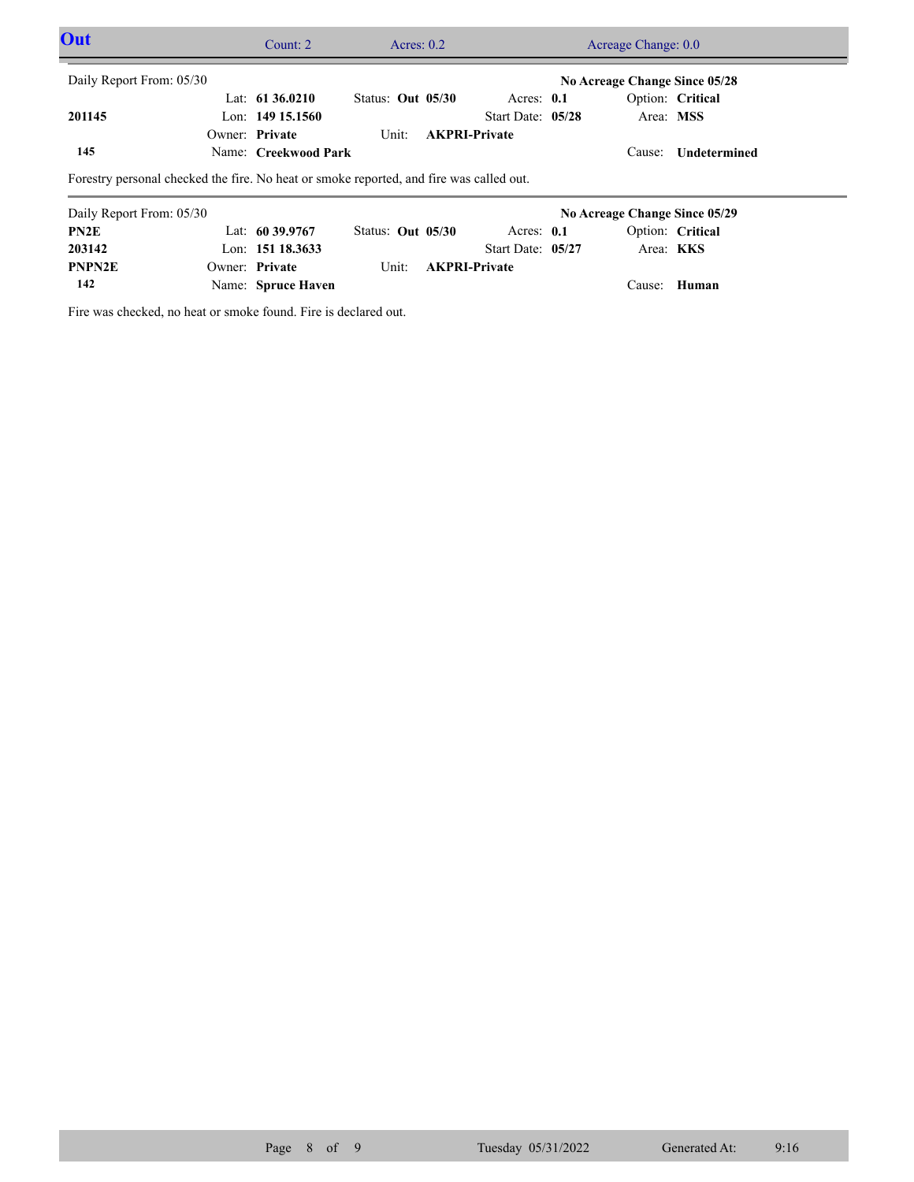| Out                                                                                     |  | Count: $2 \overline{ }$ | Acres: $0.2$             |  | Acreage Change: 0.0  |  |                               |                     |  |
|-----------------------------------------------------------------------------------------|--|-------------------------|--------------------------|--|----------------------|--|-------------------------------|---------------------|--|
| Daily Report From: 05/30                                                                |  |                         |                          |  |                      |  | No Acreage Change Since 05/28 |                     |  |
|                                                                                         |  | Lat: $6136.0210$        | Status: Out 05/30        |  | Acres: $0.1$         |  |                               | Option: Critical    |  |
| 201145                                                                                  |  | Lon: $149$ 15.1560      |                          |  | Start Date: 05/28    |  | Area: MSS                     |                     |  |
|                                                                                         |  | Owner: Private          | Unit:                    |  | <b>AKPRI-Private</b> |  |                               |                     |  |
| 145                                                                                     |  | Name: Creekwood Park    |                          |  |                      |  |                               | Cause: Undetermined |  |
| Forestry personal checked the fire. No heat or smoke reported, and fire was called out. |  |                         |                          |  |                      |  |                               |                     |  |
| Daily Report From: 05/30                                                                |  |                         |                          |  |                      |  | No Acreage Change Since 05/29 |                     |  |
| PN <sub>2</sub> E                                                                       |  | Lat: $60\,39.9767$      | <b>Status: Out 05/30</b> |  | Acres: $0.1$         |  |                               | Option: Critical    |  |
| 203142                                                                                  |  | Lon: $15118.3633$       |                          |  | Start Date: 05/27    |  | Area: KKS                     |                     |  |
| <b>PNPN2E</b>                                                                           |  | Owner: Private          | Unit:                    |  | <b>AKPRI-Private</b> |  |                               |                     |  |

Name: **Spruce Haven** Cause: **Human 142**

Fire was checked, no heat or smoke found. Fire is declared out.